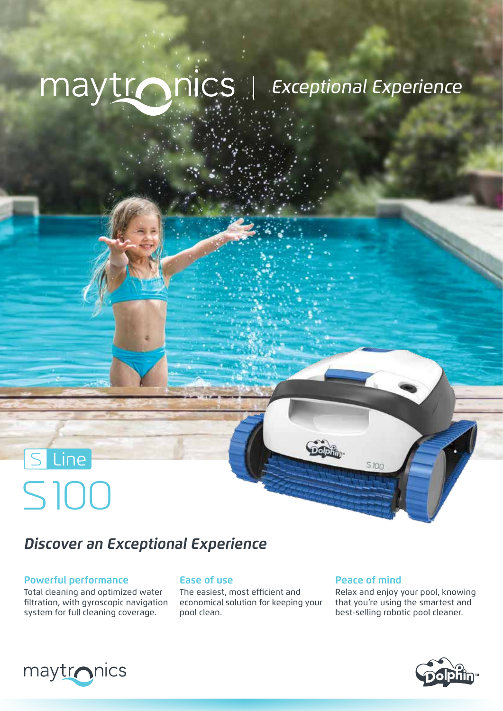# maytronics | Exceptional Experience

### **Discover an Exceptional Experience**

#### **Powerful performance**

100 S

S Line

Total cleaning and optimized water filtration, with gyroscopic navigation system for full cleaning coverage.

#### **Ease of use**

The easiest, most efficient and economical solution for keeping your pool clean.

#### **Peace of mind**

S IO<sub>O</sub>

Relax and enjoy your pool, knowing that you're using the smartest and best-selling robotic pool cleaner.